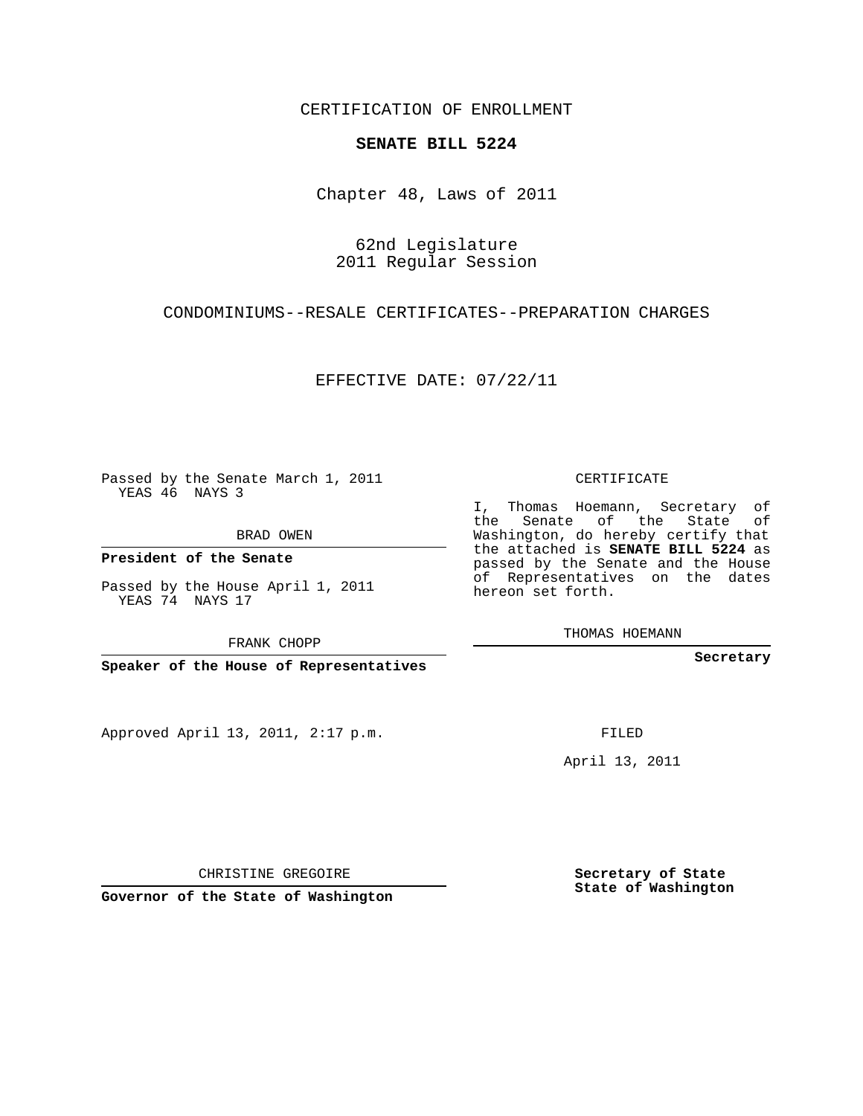CERTIFICATION OF ENROLLMENT

## **SENATE BILL 5224**

Chapter 48, Laws of 2011

62nd Legislature 2011 Regular Session

CONDOMINIUMS--RESALE CERTIFICATES--PREPARATION CHARGES

EFFECTIVE DATE: 07/22/11

Passed by the Senate March 1, 2011 YEAS 46 NAYS 3

BRAD OWEN

**President of the Senate**

Passed by the House April 1, 2011 YEAS 74 NAYS 17

FRANK CHOPP

**Speaker of the House of Representatives**

Approved April 13, 2011, 2:17 p.m.

CERTIFICATE

I, Thomas Hoemann, Secretary of the Senate of the State of Washington, do hereby certify that the attached is **SENATE BILL 5224** as passed by the Senate and the House of Representatives on the dates hereon set forth.

THOMAS HOEMANN

**Secretary**

FILED

April 13, 2011

CHRISTINE GREGOIRE

**Governor of the State of Washington**

**Secretary of State State of Washington**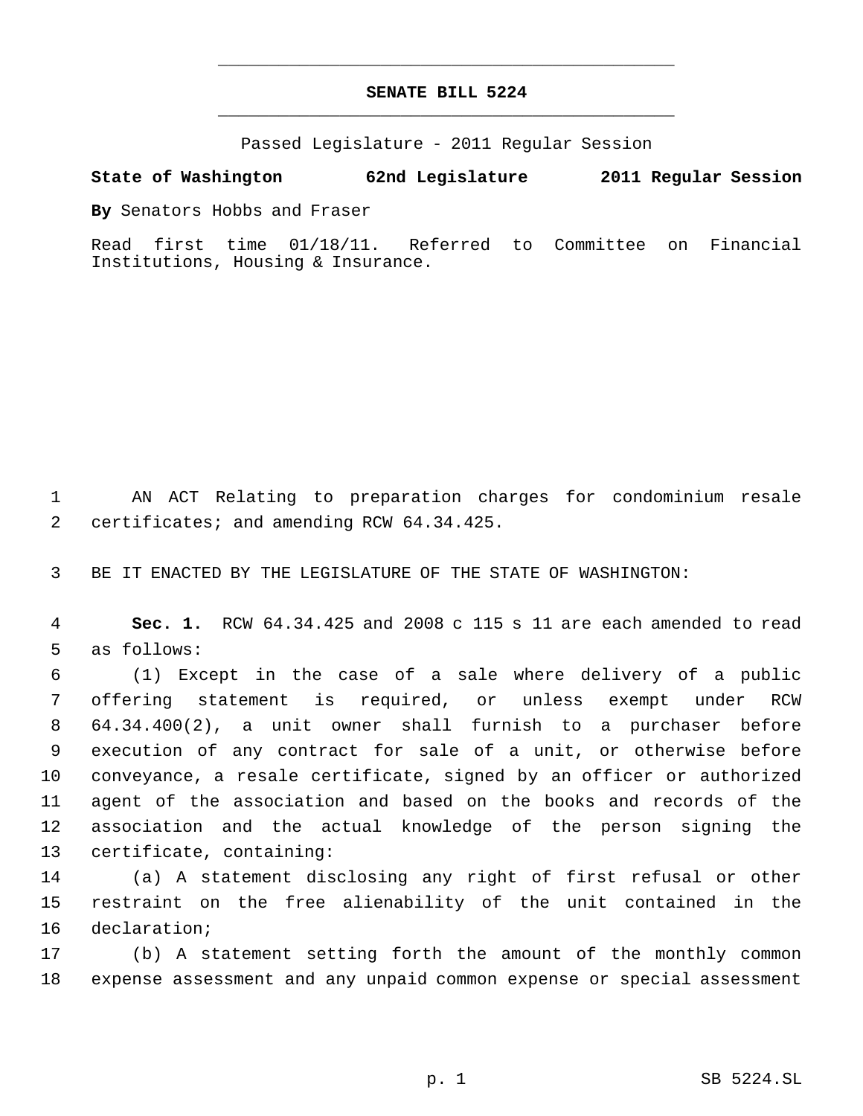## **SENATE BILL 5224** \_\_\_\_\_\_\_\_\_\_\_\_\_\_\_\_\_\_\_\_\_\_\_\_\_\_\_\_\_\_\_\_\_\_\_\_\_\_\_\_\_\_\_\_\_

\_\_\_\_\_\_\_\_\_\_\_\_\_\_\_\_\_\_\_\_\_\_\_\_\_\_\_\_\_\_\_\_\_\_\_\_\_\_\_\_\_\_\_\_\_

Passed Legislature - 2011 Regular Session

## **State of Washington 62nd Legislature 2011 Regular Session**

**By** Senators Hobbs and Fraser

Read first time 01/18/11. Referred to Committee on Financial Institutions, Housing & Insurance.

 AN ACT Relating to preparation charges for condominium resale 2 certificates; and amending RCW 64.34.425.

BE IT ENACTED BY THE LEGISLATURE OF THE STATE OF WASHINGTON:

 **Sec. 1.** RCW 64.34.425 and 2008 c 115 s 11 are each amended to read as follows:

 (1) Except in the case of a sale where delivery of a public offering statement is required, or unless exempt under RCW 64.34.400(2), a unit owner shall furnish to a purchaser before execution of any contract for sale of a unit, or otherwise before conveyance, a resale certificate, signed by an officer or authorized agent of the association and based on the books and records of the association and the actual knowledge of the person signing the certificate, containing:

 (a) A statement disclosing any right of first refusal or other restraint on the free alienability of the unit contained in the declaration;

 (b) A statement setting forth the amount of the monthly common expense assessment and any unpaid common expense or special assessment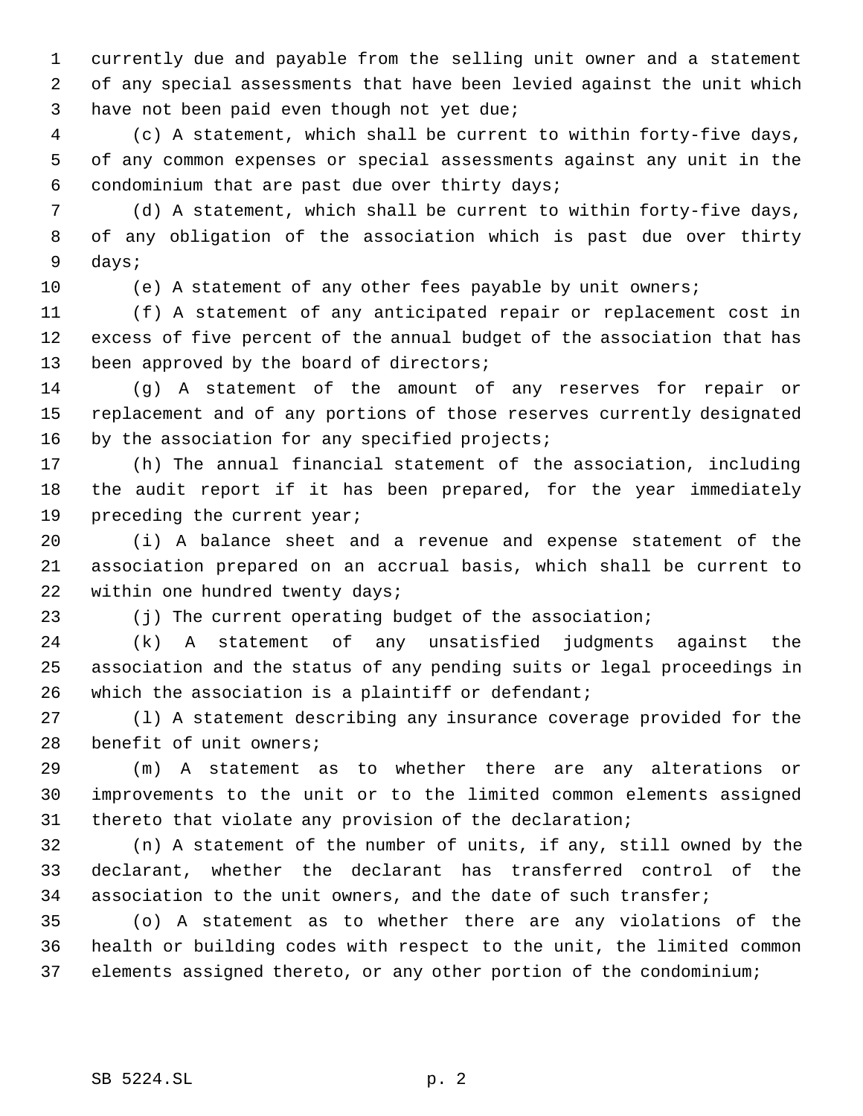currently due and payable from the selling unit owner and a statement of any special assessments that have been levied against the unit which have not been paid even though not yet due;

 (c) A statement, which shall be current to within forty-five days, of any common expenses or special assessments against any unit in the condominium that are past due over thirty days;

 (d) A statement, which shall be current to within forty-five days, of any obligation of the association which is past due over thirty days;

(e) A statement of any other fees payable by unit owners;

 (f) A statement of any anticipated repair or replacement cost in excess of five percent of the annual budget of the association that has 13 been approved by the board of directors;

 (g) A statement of the amount of any reserves for repair or replacement and of any portions of those reserves currently designated 16 by the association for any specified projects;

 (h) The annual financial statement of the association, including the audit report if it has been prepared, for the year immediately preceding the current year;

 (i) A balance sheet and a revenue and expense statement of the association prepared on an accrual basis, which shall be current to within one hundred twenty days;

(j) The current operating budget of the association;

 (k) A statement of any unsatisfied judgments against the association and the status of any pending suits or legal proceedings in 26 which the association is a plaintiff or defendant;

 (l) A statement describing any insurance coverage provided for the benefit of unit owners;

 (m) A statement as to whether there are any alterations or improvements to the unit or to the limited common elements assigned thereto that violate any provision of the declaration;

 (n) A statement of the number of units, if any, still owned by the declarant, whether the declarant has transferred control of the association to the unit owners, and the date of such transfer;

 (o) A statement as to whether there are any violations of the health or building codes with respect to the unit, the limited common elements assigned thereto, or any other portion of the condominium;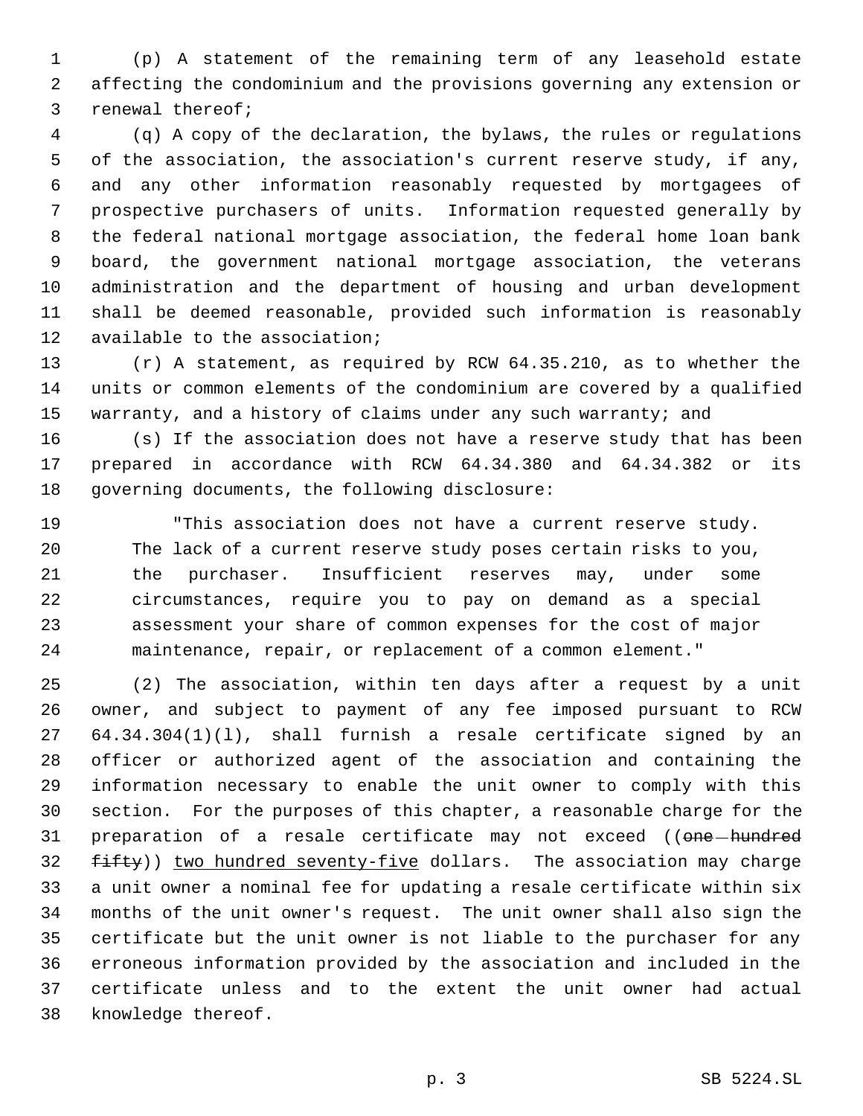(p) A statement of the remaining term of any leasehold estate affecting the condominium and the provisions governing any extension or renewal thereof;

 (q) A copy of the declaration, the bylaws, the rules or regulations of the association, the association's current reserve study, if any, and any other information reasonably requested by mortgagees of prospective purchasers of units. Information requested generally by the federal national mortgage association, the federal home loan bank board, the government national mortgage association, the veterans administration and the department of housing and urban development shall be deemed reasonable, provided such information is reasonably available to the association;

 (r) A statement, as required by RCW 64.35.210, as to whether the units or common elements of the condominium are covered by a qualified warranty, and a history of claims under any such warranty; and

 (s) If the association does not have a reserve study that has been prepared in accordance with RCW 64.34.380 and 64.34.382 or its governing documents, the following disclosure:

 "This association does not have a current reserve study. The lack of a current reserve study poses certain risks to you, the purchaser. Insufficient reserves may, under some circumstances, require you to pay on demand as a special assessment your share of common expenses for the cost of major maintenance, repair, or replacement of a common element."

 (2) The association, within ten days after a request by a unit owner, and subject to payment of any fee imposed pursuant to RCW 64.34.304(1)(l), shall furnish a resale certificate signed by an officer or authorized agent of the association and containing the information necessary to enable the unit owner to comply with this section. For the purposes of this chapter, a reasonable charge for the 31 preparation of a resale certificate may not exceed ((one-hundred 32 fifty)) two hundred seventy-five dollars. The association may charge a unit owner a nominal fee for updating a resale certificate within six months of the unit owner's request. The unit owner shall also sign the certificate but the unit owner is not liable to the purchaser for any erroneous information provided by the association and included in the certificate unless and to the extent the unit owner had actual knowledge thereof.

p. 3 SB 5224.SL